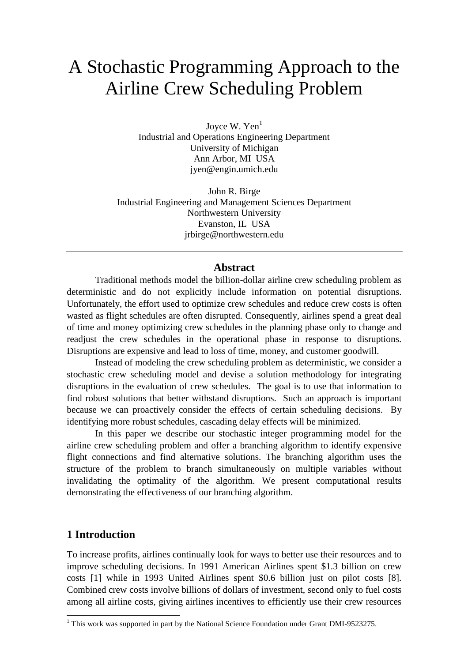# A Stochastic Programming Approach to the Airline Crew Scheduling Problem

Joyce W. Yen<sup>1</sup> Industrial and Operations Engineering Department University of Michigan Ann Arbor, MI USA jyen@engin.umich.edu

John R. Birge Industrial Engineering and Management Sciences Department Northwestern University Evanston, IL USA jrbirge@northwestern.edu

## **Abstract**

Traditional methods model the billion-dollar airline crew scheduling problem as deterministic and do not explicitly include information on potential disruptions. Unfortunately, the effort used to optimize crew schedules and reduce crew costs is often wasted as flight schedules are often disrupted. Consequently, airlines spend a great deal of time and money optimizing crew schedules in the planning phase only to change and readjust the crew schedules in the operational phase in response to disruptions. Disruptions are expensive and lead to loss of time, money, and customer goodwill.

Instead of modeling the crew scheduling problem as deterministic, we consider a stochastic crew scheduling model and devise a solution methodology for integrating disruptions in the evaluation of crew schedules. The goal is to use that information to find robust solutions that better withstand disruptions. Such an approach is important because we can proactively consider the effects of certain scheduling decisions. By identifying more robust schedules, cascading delay effects will be minimized.

In this paper we describe our stochastic integer programming model for the airline crew scheduling problem and offer a branching algorithm to identify expensive flight connections and find alternative solutions. The branching algorithm uses the structure of the problem to branch simultaneously on multiple variables without invalidating the optimality of the algorithm. We present computational results demonstrating the effectiveness of our branching algorithm.

# **1 Introduction**

-

To increase profits, airlines continually look for ways to better use their resources and to improve scheduling decisions. In 1991 American Airlines spent \$1.3 billion on crew costs [1] while in 1993 United Airlines spent \$0.6 billion just on pilot costs [8]. Combined crew costs involve billions of dollars of investment, second only to fuel costs among all airline costs, giving airlines incentives to efficiently use their crew resources

 $1$  This work was supported in part by the National Science Foundation under Grant DMI-9523275.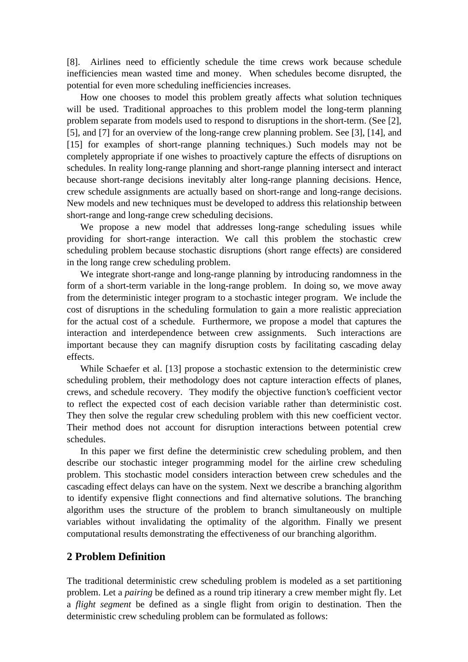[8]. Airlines need to efficiently schedule the time crews work because schedule inefficiencies mean wasted time and money. When schedules become disrupted, the potential for even more scheduling inefficiencies increases.

How one chooses to model this problem greatly affects what solution techniques will be used. Traditional approaches to this problem model the long-term planning problem separate from models used to respond to disruptions in the short-term. (See [2], [5], and [7] for an overview of the long-range crew planning problem. See [3], [14], and [15] for examples of short-range planning techniques.) Such models may not be completely appropriate if one wishes to proactively capture the effects of disruptions on schedules. In reality long-range planning and short-range planning intersect and interact because short-range decisions inevitably alter long-range planning decisions. Hence, crew schedule assignments are actually based on short-range and long-range decisions. New models and new techniques must be developed to address this relationship between short-range and long-range crew scheduling decisions.

We propose a new model that addresses long-range scheduling issues while providing for short-range interaction. We call this problem the stochastic crew scheduling problem because stochastic disruptions (short range effects) are considered in the long range crew scheduling problem.

We integrate short-range and long-range planning by introducing randomness in the form of a short-term variable in the long-range problem. In doing so, we move away from the deterministic integer program to a stochastic integer program. We include the cost of disruptions in the scheduling formulation to gain a more realistic appreciation for the actual cost of a schedule. Furthermore, we propose a model that captures the interaction and interdependence between crew assignments. Such interactions are important because they can magnify disruption costs by facilitating cascading delay effects.

While Schaefer et al. [13] propose a stochastic extension to the deterministic crew scheduling problem, their methodology does not capture interaction effects of planes, crews, and schedule recovery. They modify the objective function's coefficient vector to reflect the expected cost of each decision variable rather than deterministic cost. They then solve the regular crew scheduling problem with this new coefficient vector. Their method does not account for disruption interactions between potential crew schedules.

In this paper we first define the deterministic crew scheduling problem, and then describe our stochastic integer programming model for the airline crew scheduling problem. This stochastic model considers interaction between crew schedules and the cascading effect delays can have on the system. Next we describe a branching algorithm to identify expensive flight connections and find alternative solutions. The branching algorithm uses the structure of the problem to branch simultaneously on multiple variables without invalidating the optimality of the algorithm. Finally we present computational results demonstrating the effectiveness of our branching algorithm.

# **2 Problem Definition**

The traditional deterministic crew scheduling problem is modeled as a set partitioning problem. Let a *pairing* be defined as a round trip itinerary a crew member might fly. Let a *flight segment* be defined as a single flight from origin to destination. Then the deterministic crew scheduling problem can be formulated as follows: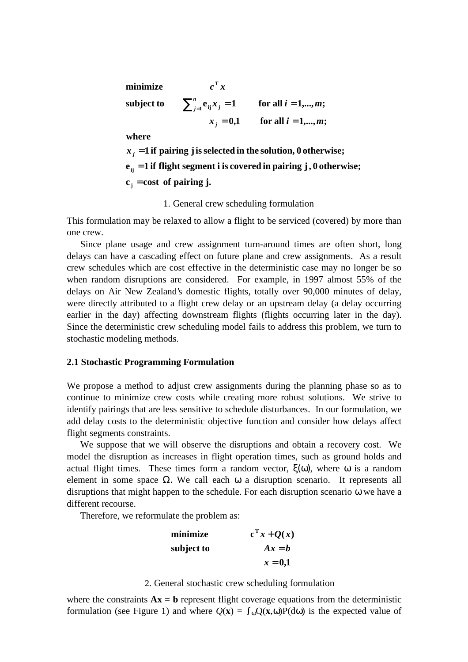$c_j = \text{cost of pairing } j$ . **e 1 if flight segment i is covered in pairing j, 0 otherwise; ij** =  $\mathbf{x}_j = 1$  if pairing j is selected in the solution,  $\mathbf{0}$  otherwise; **where**  $x_i = 0,1$  for all  $i = 1,...,m$ ;  $\textbf{subject to} \qquad \sum_{j=1}^n \mathbf{e}_{ij} x_j = 1 \qquad \textbf{ for all } i=1,...,m;$ **minimize**   $= 0,1$  for all  $i =$  $\sum_{j=1}^n e_{ij} x_j = 1$  for all  $i =$ *j n*  $j=1$ <sup> $\mathbf{v}$ </sup>ij $\mathbf{v}$  *j*  $c^T x$  $x_i = 0,1$  for all  $i = 1,...,m$  $x_i = 1$  for all  $i = 1,...,m$ 

1. General crew scheduling formulation

This formulation may be relaxed to allow a flight to be serviced (covered) by more than one crew.

Since plane usage and crew assignment turn-around times are often short, long delays can have a cascading effect on future plane and crew assignments. As a result crew schedules which are cost effective in the deterministic case may no longer be so when random disruptions are considered. For example, in 1997 almost 55% of the delays on Air New Zealand's domestic flights, totally over 90,000 minutes of delay, were directly attributed to a flight crew delay or an upstream delay (a delay occurring earlier in the day) affecting downstream flights (flights occurring later in the day). Since the deterministic crew scheduling model fails to address this problem, we turn to stochastic modeling methods.

#### **2.1 Stochastic Programming Formulation**

We propose a method to adjust crew assignments during the planning phase so as to continue to minimize crew costs while creating more robust solutions. We strive to identify pairings that are less sensitive to schedule disturbances. In our formulation, we add delay costs to the deterministic objective function and consider how delays affect flight segments constraints.

We suppose that we will observe the disruptions and obtain a recovery cost. We model the disruption as increases in flight operation times, such as ground holds and actual flight times. These times form a random vector,  $ξ(ω)$ , where ω is a random element in some space  $\Omega$ . We call each  $\omega$  a disruption scenario. It represents all disruptions that might happen to the schedule. For each disruption scenario ω we have a different recourse.

Therefore, we reformulate the problem as:

| minimize   | $c^{\mathrm{T}} x + Q(x)$ |
|------------|---------------------------|
| subject to | $Ax = b$                  |
|            | $x = 0,1$                 |

#### 2. General stochastic crew scheduling formulation

where the constraints  $Ax = b$  represent flight coverage equations from the deterministic formulation (see Figure 1) and where  $Q(x) = \int_{\omega} Q(x, \omega) P(d\omega)$  is the expected value of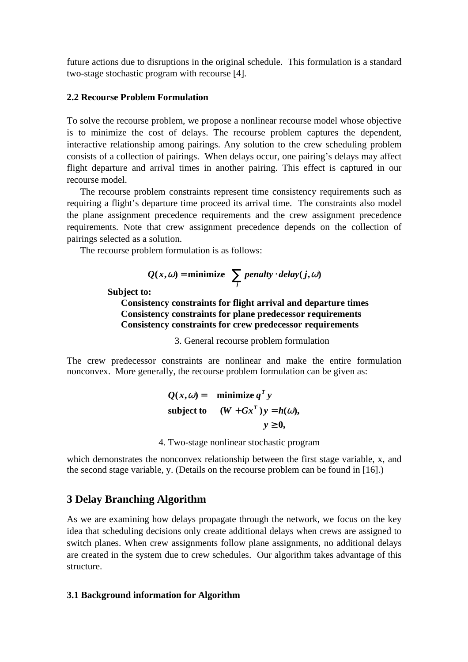future actions due to disruptions in the original schedule. This formulation is a standard two-stage stochastic program with recourse [4].

#### **2.2 Recourse Problem Formulation**

To solve the recourse problem, we propose a nonlinear recourse model whose objective is to minimize the cost of delays. The recourse problem captures the dependent, interactive relationship among pairings. Any solution to the crew scheduling problem consists of a collection of pairings. When delays occur, one pairing's delays may affect flight departure and arrival times in another pairing. This effect is captured in our recourse model.

The recourse problem constraints represent time consistency requirements such as requiring a flight's departure time proceed its arrival time. The constraints also model the plane assignment precedence requirements and the crew assignment precedence requirements. Note that crew assignment precedence depends on the collection of pairings selected as a solution.

The recourse problem formulation is as follows:

$$
Q(x, \omega) = \text{minimize} \sum_{j} \text{penalty} \cdot \text{delay}(j, \omega)
$$

**Subject to:**

**Consistency constraints for flight arrival and departure times Consistency constraints for plane predecessor requirements Consistency constraints for crew predecessor requirements**

3. General recourse problem formulation

The crew predecessor constraints are nonlinear and make the entire formulation nonconvex. More generally, the recourse problem formulation can be given as:

$$
Q(x, \omega) = \text{minimize } q^T y
$$
  
subject to 
$$
(W + Gx^T)y = h(\omega),
$$

$$
y \ge 0,
$$

4. Two-stage nonlinear stochastic program

which demonstrates the nonconvex relationship between the first stage variable, x, and the second stage variable, y. (Details on the recourse problem can be found in [16].)

# **3 Delay Branching Algorithm**

As we are examining how delays propagate through the network, we focus on the key idea that scheduling decisions only create additional delays when crews are assigned to switch planes. When crew assignments follow plane assignments, no additional delays are created in the system due to crew schedules. Our algorithm takes advantage of this structure.

### **3.1 Background information for Algorithm**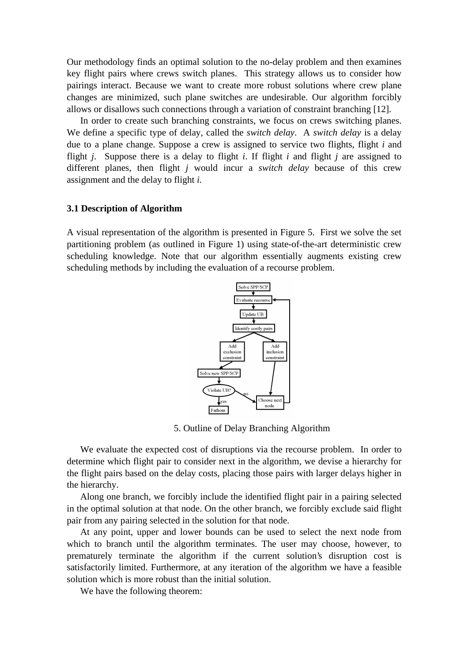Our methodology finds an optimal solution to the no-delay problem and then examines key flight pairs where crews switch planes. This strategy allows us to consider how pairings interact. Because we want to create more robust solutions where crew plane changes are minimized, such plane switches are undesirable. Our algorithm forcibly allows or disallows such connections through a variation of constraint branching [12].

In order to create such branching constraints, we focus on crews switching planes. We define a specific type of delay, called the *switch delay*. A *switch delay* is a delay due to a plane change. Suppose a crew is assigned to service two flights, flight *i* and flight *j*. Suppose there is a delay to flight *i*. If flight *i* and flight *j* are assigned to different planes, then flight *j* would incur a *switch delay* because of this crew assignment and the delay to flight *i.*

#### **3.1 Description of Algorithm**

A visual representation of the algorithm is presented in Figure 5. First we solve the set partitioning problem (as outlined in Figure 1) using state-of-the-art deterministic crew scheduling knowledge. Note that our algorithm essentially augments existing crew scheduling methods by including the evaluation of a recourse problem.



5. Outline of Delay Branching Algorithm

We evaluate the expected cost of disruptions via the recourse problem. In order to determine which flight pair to consider next in the algorithm, we devise a hierarchy for the flight pairs based on the delay costs, placing those pairs with larger delays higher in the hierarchy.

Along one branch, we forcibly include the identified flight pair in a pairing selected in the optimal solution at that node. On the other branch, we forcibly exclude said flight pair from any pairing selected in the solution for that node.

At any point, upper and lower bounds can be used to select the next node from which to branch until the algorithm terminates. The user may choose, however, to prematurely terminate the algorithm if the current solution's disruption cost is satisfactorily limited. Furthermore, at any iteration of the algorithm we have a feasible solution which is more robust than the initial solution.

We have the following theorem: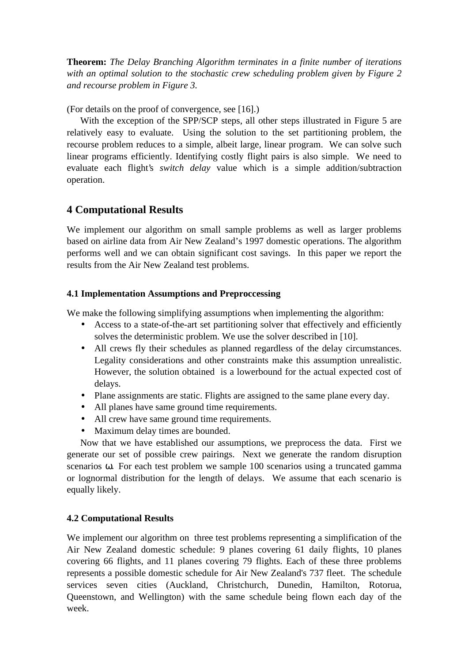**Theorem:** *The Delay Branching Algorithm terminates in a finite number of iterations with an optimal solution to the stochastic crew scheduling problem given by Figure 2 and recourse problem in Figure 3.*

(For details on the proof of convergence, see [16].)

With the exception of the SPP/SCP steps, all other steps illustrated in Figure 5 are relatively easy to evaluate. Using the solution to the set partitioning problem, the recourse problem reduces to a simple, albeit large, linear program. We can solve such linear programs efficiently. Identifying costly flight pairs is also simple. We need to evaluate each flight's *switch delay* value which is a simple addition/subtraction operation.

# **4 Computational Results**

We implement our algorithm on small sample problems as well as larger problems based on airline data from Air New Zealand's 1997 domestic operations. The algorithm performs well and we can obtain significant cost savings. In this paper we report the results from the Air New Zealand test problems.

## **4.1 Implementation Assumptions and Preproccessing**

We make the following simplifying assumptions when implementing the algorithm:

- Access to a state-of-the-art set partitioning solver that effectively and efficiently solves the deterministic problem. We use the solver described in [10].
- All crews fly their schedules as planned regardless of the delay circumstances. Legality considerations and other constraints make this assumption unrealistic. However, the solution obtained is a lowerbound for the actual expected cost of delays.
- Plane assignments are static. Flights are assigned to the same plane every day.
- All planes have same ground time requirements.
- All crew have same ground time requirements.
- Maximum delay times are bounded.

Now that we have established our assumptions, we preprocess the data. First we generate our set of possible crew pairings. Next we generate the random disruption scenarios ω. For each test problem we sample 100 scenarios using a truncated gamma or lognormal distribution for the length of delays. We assume that each scenario is equally likely.

## **4.2 Computational Results**

We implement our algorithm on three test problems representing a simplification of the Air New Zealand domestic schedule: 9 planes covering 61 daily flights, 10 planes covering 66 flights, and 11 planes covering 79 flights. Each of these three problems represents a possible domestic schedule for Air New Zealand's 737 fleet. The schedule services seven cities (Auckland, Christchurch, Dunedin, Hamilton, Rotorua, Queenstown, and Wellington) with the same schedule being flown each day of the week.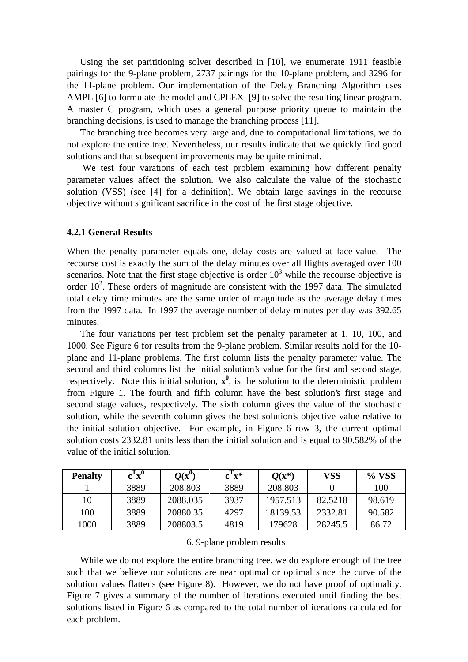Using the set parititioning solver described in [10], we enumerate 1911 feasible pairings for the 9-plane problem, 2737 pairings for the 10-plane problem, and 3296 for the 11-plane problem. Our implementation of the Delay Branching Algorithm uses AMPL [6] to formulate the model and CPLEX [9] to solve the resulting linear program. A master C program, which uses a general purpose priority queue to maintain the branching decisions, is used to manage the branching process [11].

The branching tree becomes very large and, due to computational limitations, we do not explore the entire tree. Nevertheless, our results indicate that we quickly find good solutions and that subsequent improvements may be quite minimal.

We test four varations of each test problem examining how different penalty parameter values affect the solution. We also calculate the value of the stochastic solution (VSS) (see [4] for a definition). We obtain large savings in the recourse objective without significant sacrifice in the cost of the first stage objective.

#### **4.2.1 General Results**

When the penalty parameter equals one, delay costs are valued at face-value. The recourse cost is exactly the sum of the delay minutes over all flights averaged over 100 scenarios. Note that the first stage objective is order  $10<sup>3</sup>$  while the recourse objective is order  $10^2$ . These orders of magnitude are consistent with the 1997 data. The simulated total delay time minutes are the same order of magnitude as the average delay times from the 1997 data. In 1997 the average number of delay minutes per day was 392.65 minutes.

The four variations per test problem set the penalty parameter at 1, 10, 100, and 1000. See Figure 6 for results from the 9-plane problem. Similar results hold for the 10 plane and 11-plane problems. The first column lists the penalty parameter value. The second and third columns list the initial solution's value for the first and second stage, respectively. Note this initial solution,  $x^0$ , is the solution to the deterministic problem from Figure 1. The fourth and fifth column have the best solution's first stage and second stage values, respectively. The sixth column gives the value of the stochastic solution, while the seventh column gives the best solution's objective value relative to the initial solution objective. For example, in Figure 6 row 3, the current optimal solution costs 2332.81 units less than the initial solution and is equal to 90.582% of the value of the initial solution.

| <b>Penalty</b> | $c^Tx^0$ | $Q(\mathbf{x}^0)$ | $c^Tx^*$ | $Q(x^*)$ | VSS     | % VSS  |
|----------------|----------|-------------------|----------|----------|---------|--------|
|                | 3889     | 208.803           | 3889     | 208.803  |         | 100    |
| 10             | 3889     | 2088.035          | 3937     | 1957.513 | 82.5218 | 98.619 |
| 100            | 3889     | 20880.35          | 4297     | 18139.53 | 2332.81 | 90.582 |
| 1000           | 3889     | 208803.5          | 4819     | 179628   | 28245.5 | 86.72  |

6. 9-plane problem results

While we do not explore the entire branching tree, we do explore enough of the tree such that we believe our solutions are near optimal or optimal since the curve of the solution values flattens (see Figure 8). However, we do not have proof of optimality. Figure 7 gives a summary of the number of iterations executed until finding the best solutions listed in Figure 6 as compared to the total number of iterations calculated for each problem.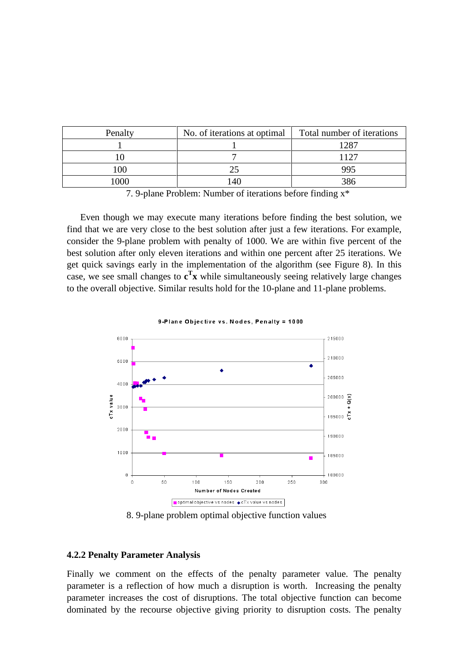| Penalty | No. of iterations at optimal | Total number of iterations |  |
|---------|------------------------------|----------------------------|--|
|         |                              | 1287                       |  |
|         |                              | 1177                       |  |
| 100     |                              | 995                        |  |
|         | $\Delta$ C                   |                            |  |

7. 9-plane Problem: Number of iterations before finding x\*

Even though we may execute many iterations before finding the best solution, we find that we are very close to the best solution after just a few iterations. For example, consider the 9-plane problem with penalty of 1000. We are within five percent of the best solution after only eleven iterations and within one percent after 25 iterations. We get quick savings early in the implementation of the algorithm (see Figure 8). In this case, we see small changes to **c T x** while simultaneously seeing relatively large changes to the overall objective. Similar results hold for the 10-plane and 11-plane problems.



9-Plane Objective vs. Nodes, Penalty = 1000

8. 9-plane problem optimal objective function values

#### **4.2.2 Penalty Parameter Analysis**

Finally we comment on the effects of the penalty parameter value. The penalty parameter is a reflection of how much a disruption is worth. Increasing the penalty parameter increases the cost of disruptions. The total objective function can become dominated by the recourse objective giving priority to disruption costs. The penalty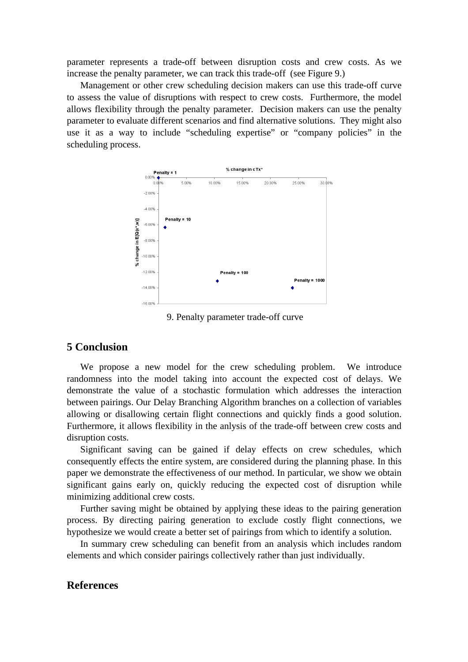parameter represents a trade-off between disruption costs and crew costs. As we increase the penalty parameter, we can track this trade-off (see Figure 9.)

Management or other crew scheduling decision makers can use this trade-off curve to assess the value of disruptions with respect to crew costs. Furthermore, the model allows flexibility through the penalty parameter. Decision makers can use the penalty parameter to evaluate different scenarios and find alternative solutions. They might also use it as a way to include "scheduling expertise" or "company policies" in the scheduling process.



9. Penalty parameter trade-off curve

#### **5 Conclusion**

We propose a new model for the crew scheduling problem. We introduce randomness into the model taking into account the expected cost of delays. We demonstrate the value of a stochastic formulation which addresses the interaction between pairings. Our Delay Branching Algorithm branches on a collection of variables allowing or disallowing certain flight connections and quickly finds a good solution. Furthermore, it allows flexibility in the anlysis of the trade-off between crew costs and disruption costs.

Significant saving can be gained if delay effects on crew schedules, which consequently effects the entire system, are considered during the planning phase. In this paper we demonstrate the effectiveness of our method. In particular, we show we obtain significant gains early on, quickly reducing the expected cost of disruption while minimizing additional crew costs.

Further saving might be obtained by applying these ideas to the pairing generation process. By directing pairing generation to exclude costly flight connections, we hypothesize we would create a better set of pairings from which to identify a solution.

In summary crew scheduling can benefit from an analysis which includes random elements and which consider pairings collectively rather than just individually.

## **References**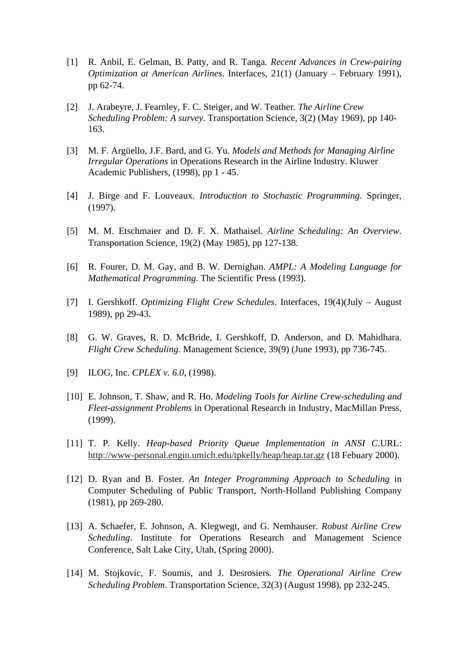- [1] R. Anbil, E. Gelman, B. Patty, and R. Tanga. *Recent Advances in Crew-pairing Optimization at American Airlines*. Interfaces, 21(1) (January – February 1991), pp 62-74.
- [2] J. Arabeyre, J. Fearnley, F. C. Steiger, and W. Teather*. The Airline Crew Scheduling Problem: A survey*. Transportation Science, 3(2) (May 1969), pp 140- 163.
- [3] M. F. Argüello, J.F. Bard, and G. Yu*. Models and Methods for Managing Airline Irregular Operations* in Operations Research in the Airline Industry. Kluwer Academic Publishers, (1998), pp 1 - 45.
- [4] J. Birge and F. Louveaux. *Introduction to Stochastic Programming*. Springer, (1997).
- [5] M. M. Etschmaier and D. F. X. Mathaisel. *Airline Scheduling: An Overview*. Transportation Science*,* 19(2) (May 1985), pp 127-138.
- [6] R. Fourer, D. M. Gay, and B. W. Dernighan. *AMPL: A Modeling Language for Mathematical Programming*. The Scientific Press (1993).
- [7] I. Gershkoff. *Optimizing Flight Crew Schedules*. Interfaces, 19(4)(July August 1989), pp 29-43.
- [8] G. W. Graves, R. D. McBride, I. Gershkoff, D. Anderson, and D. Mahidhara. *Flight Crew Scheduling*. Management Science, 39(9) (June 1993), pp 736-745.
- [9] ILOG, Inc. *CPLEX v. 6.0*, (1998).
- [10] E. Johnson, T. Shaw, and R. Ho. *Modeling Tools for Airline Crew-scheduling and Fleet-assignment Problems* in Operational Research in Industry, MacMillan Press, (1999).
- [11] T. P. Kelly. *Heap-based Priority Queue Implementation in ANSI C*.URL: http://www-personal.engin.umich.edu/tpkelly/heap/heap.tar.gz (18 Febuary 2000).
- [12] D. Ryan and B. Foster. *An Integer Programming Approach to Scheduling* in Computer Scheduling of Public Transport, North-Holland Publishing Company (1981), pp 269-280.
- [13] A. Schaefer, E. Johnson, A. Klegwegt, and G. Nemhauser. *Robust Airline Crew Scheduling*. Institute for Operations Research and Management Science Conference, Salt Lake City, Utah, (Spring 2000).
- [14] M. Stojkovic, F. Soumis, and J. Desrosiers*. The Operational Airline Crew Scheduling Problem*. Transportation Science, 32(3) (August 1998), pp 232-245.